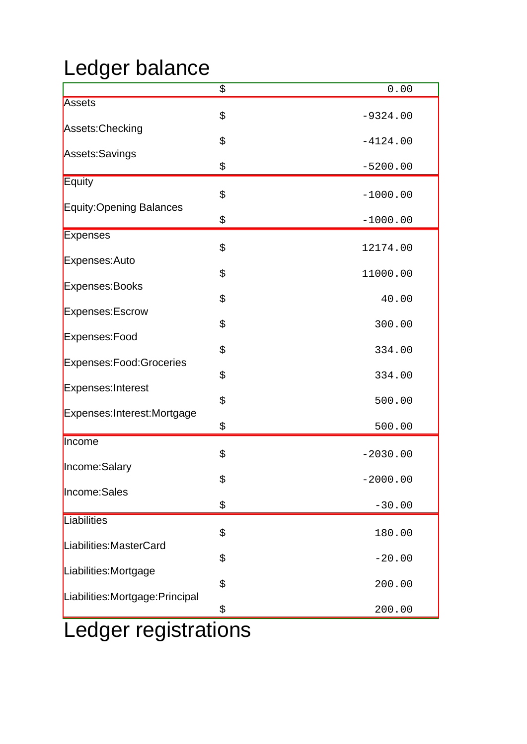## Ledger balance

|                                  | \$ | 0.00       |
|----------------------------------|----|------------|
| Assets                           |    |            |
| Assets: Checking                 | \$ | $-9324.00$ |
|                                  | \$ | $-4124.00$ |
| Assets:Savings                   | \$ | $-5200.00$ |
| <b>Equity</b>                    |    |            |
| Equity:Opening Balances          | \$ | $-1000.00$ |
|                                  | \$ | $-1000.00$ |
| <b>Expenses</b>                  |    |            |
| Expenses:Auto                    | \$ | 12174.00   |
|                                  | \$ | 11000.00   |
| Expenses:Books                   | \$ | 40.00      |
| Expenses: Escrow                 |    |            |
| Expenses:Food                    | \$ | 300.00     |
|                                  | \$ | 334.00     |
| Expenses: Food: Groceries        |    |            |
| Expenses: Interest               | \$ | 334.00     |
|                                  | \$ | 500.00     |
| Expenses: Interest: Mortgage     | \$ | 500.00     |
| Income                           |    |            |
| Income:Salary                    | \$ | $-2030.00$ |
|                                  | ら  | $-2000.00$ |
| Income:Sales                     | \$ | $-30.00$   |
| Liabilities                      |    |            |
|                                  | \$ | 180.00     |
| Liabilities: Master Card         | \$ | $-20.00$   |
| Liabilities:Mortgage             |    |            |
|                                  | \$ | 200.00     |
| Liabilities: Mortgage: Principal | \$ | 200.00     |
| adger registrations              |    |            |

## Ledger registrations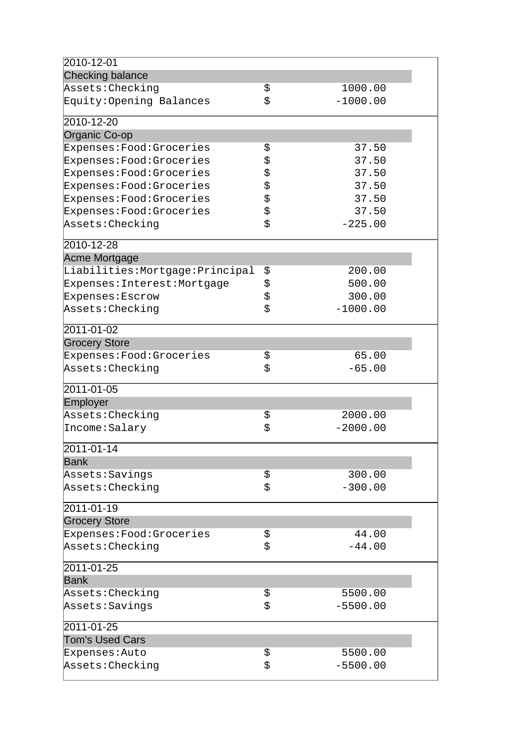| 2010-12-01                     |                  |  |
|--------------------------------|------------------|--|
| <b>Checking balance</b>        |                  |  |
| Assets: Checking               | \$<br>1000.00    |  |
| Equity: Opening Balances       | \$<br>$-1000.00$ |  |
| 2010-12-20                     |                  |  |
| Organic Co-op                  |                  |  |
| Expenses: Food: Groceries      | \$<br>37.50      |  |
| Expenses: Food: Groceries      | \$<br>37.50      |  |
| Expenses: Food: Groceries      | \$<br>37.50      |  |
| Expenses: Food: Groceries      | \$<br>37.50      |  |
| Expenses: Food: Groceries      | \$<br>37.50      |  |
| Expenses: Food: Groceries      | \$<br>37.50      |  |
| Assets: Checking               | \$<br>$-225.00$  |  |
| 2010-12-28                     |                  |  |
| Acme Mortgage                  |                  |  |
| Liabilities:Mortgage:Principal | \$<br>200.00     |  |
| Expenses: Interest: Mortgage   | \$<br>500.00     |  |
| Expenses: Escrow               | \$<br>300.00     |  |
| Assets: Checking               | \$<br>$-1000.00$ |  |
| 2011-01-02                     |                  |  |
| <b>Grocery Store</b>           |                  |  |
| Expenses: Food: Groceries      | \$<br>65.00      |  |
| Assets: Checking               | \$<br>$-65.00$   |  |
| 2011-01-05                     |                  |  |
| Employer                       |                  |  |
| Assets: Checking               | \$<br>2000.00    |  |
| Income: Salary                 | \$<br>$-2000.00$ |  |
| 2011-01-14                     |                  |  |
| <b>Bank</b>                    |                  |  |
| Assets: Savings                | \$<br>300.00     |  |
| Assets: Checking               | \$<br>$-300.00$  |  |
| 2011-01-19                     |                  |  |
| <b>Grocery Store</b>           |                  |  |
| Expenses: Food: Groceries      | \$<br>44.00      |  |
| Assets: Checking               | \$<br>$-44.00$   |  |
| 2011-01-25                     |                  |  |
| <b>Bank</b>                    |                  |  |
| Assets: Checking               | \$<br>5500.00    |  |
| Assets: Savings                | \$<br>$-5500.00$ |  |
| 2011-01-25                     |                  |  |
| <b>Tom's Used Cars</b>         |                  |  |
| Expenses: Auto                 | \$<br>5500.00    |  |
| Assets: Checking               | \$<br>$-5500.00$ |  |